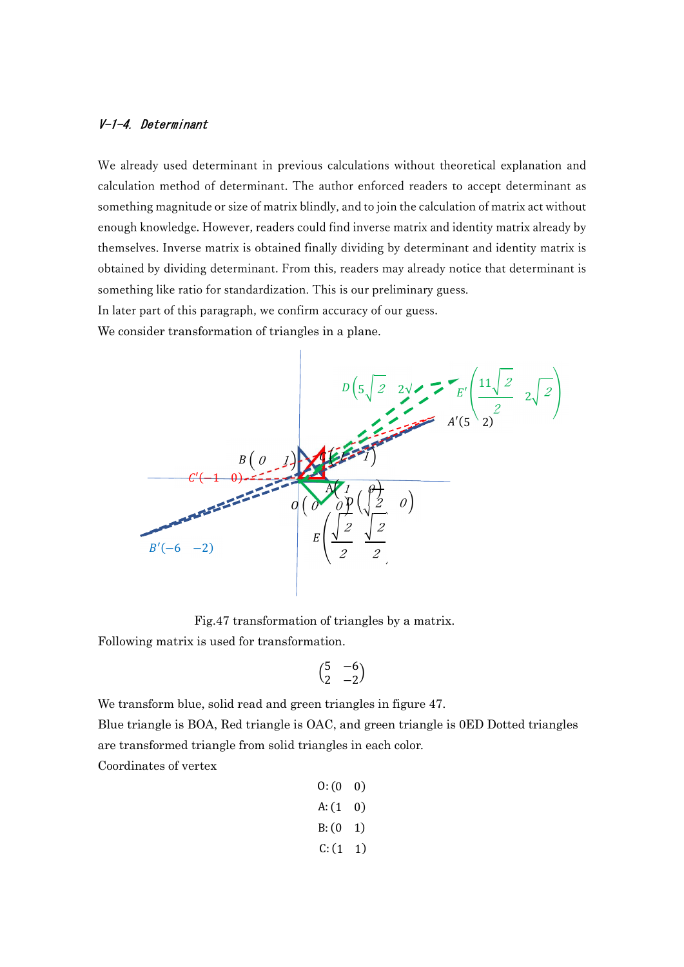## V-1-4. Determinant

We already used determinant in previous calculations without theoretical explanation and calculation method of determinant. The author enforced readers to accept determinant as something magnitude or size of matrix blindly, and to join the calculation of matrix act without enough knowledge. However, readers could find inverse matrix and identity matrix already by themselves. Inverse matrix is obtained finally dividing by determinant and identity matrix is obtained by dividing determinant. From this, readers may already notice that determinant is something like ratio for standardization. This is our preliminary guess.

In later part of this paragraph, we confirm accuracy of our guess.

We consider transformation of triangles in a plane.



Fig.47 transformation of triangles by a matrix.

Following matrix is used for transformation.

$$
\begin{pmatrix} 5 & -6 \\ 2 & -2 \end{pmatrix}
$$

We transform blue, solid read and green triangles in figure 47.

Blue triangle is BOA, Red triangle is OAC, and green triangle is 0ED Dotted triangles are transformed triangle from solid triangles in each color.

Coordinates of vertex

| 0: (0)  | 0) |
|---------|----|
| A: (1)  | 0) |
| $B:$ (0 | 1) |
| C: (1   | 1) |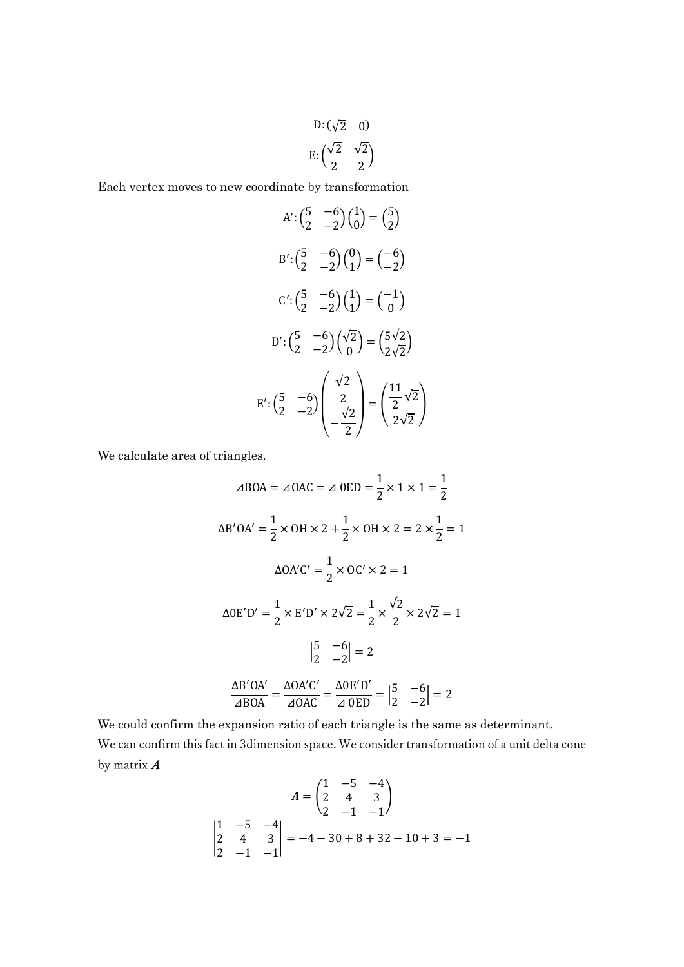D: 
$$
(\sqrt{2} \quad 0)
$$
  
E:  $(\frac{\sqrt{2}}{2} \quad \frac{\sqrt{2}}{2})$ 

Each vertex moves to new coordinate by transformation

A': 
$$
\begin{pmatrix} 5 & -6 \\ 2 & -2 \end{pmatrix} \begin{pmatrix} 1 \\ 0 \end{pmatrix} = \begin{pmatrix} 5 \\ 2 \end{pmatrix}
$$
  
\nB':  $\begin{pmatrix} 5 & -6 \\ 2 & -2 \end{pmatrix} \begin{pmatrix} 0 \\ 1 \end{pmatrix} = \begin{pmatrix} -6 \\ -2 \end{pmatrix}$   
\nC':  $\begin{pmatrix} 5 & -6 \\ 2 & -2 \end{pmatrix} \begin{pmatrix} 1 \\ 1 \end{pmatrix} = \begin{pmatrix} -1 \\ 0 \end{pmatrix}$   
\nD':  $\begin{pmatrix} 5 & -6 \\ 2 & -2 \end{pmatrix} \begin{pmatrix} \sqrt{2} \\ 0 \end{pmatrix} = \begin{pmatrix} 5\sqrt{2} \\ 2\sqrt{2} \end{pmatrix}$   
\nE':  $\begin{pmatrix} 5 & -6 \\ 2 & -2 \end{pmatrix} \begin{pmatrix} \frac{\sqrt{2}}{2} \\ -\frac{\sqrt{2}}{2} \end{pmatrix} = \begin{pmatrix} \frac{11}{2}\sqrt{2} \\ \frac{2}{2}\sqrt{2} \end{pmatrix}$ 

We calculate area of triangles.

$$
\angle ABOA = \angle OAC = \angle OED = \frac{1}{2} \times 1 \times 1 = \frac{1}{2}
$$
  
\n
$$
\Delta B'OA' = \frac{1}{2} \times OH \times 2 + \frac{1}{2} \times OH \times 2 = 2 \times \frac{1}{2} = 1
$$
  
\n
$$
\Delta OA'C' = \frac{1}{2} \times OC' \times 2 = 1
$$
  
\n
$$
\Delta OE'D' = \frac{1}{2} \times E'D' \times 2\sqrt{2} = \frac{1}{2} \times \frac{\sqrt{2}}{2} \times 2\sqrt{2} = 1
$$
  
\n
$$
\begin{vmatrix} 5 & -6 \\ 2 & -2 \end{vmatrix} = 2
$$
  
\n
$$
\frac{\Delta B'OA'}{\angle ABOA} = \frac{\Delta OA'C'}{\angle OAC} = \frac{\Delta OE'D'}{\angle OED} = \begin{vmatrix} 5 & -6 \\ 2 & -2 \end{vmatrix} = 2
$$

We could confirm the expansion ratio of each triangle is the same as determinant. We can confirm this fact in 3dimension space. We consider transformation of a unit delta cone by matrix A

$$
A = \begin{pmatrix} 1 & -5 & -4 \\ 2 & 4 & 3 \\ 2 & -1 & -1 \end{pmatrix}
$$
  

$$
\begin{vmatrix} 1 & -5 & -4 \\ 2 & 4 & 3 \\ 2 & -1 & -1 \end{vmatrix} = -4 - 30 + 8 + 32 - 10 + 3 = -1
$$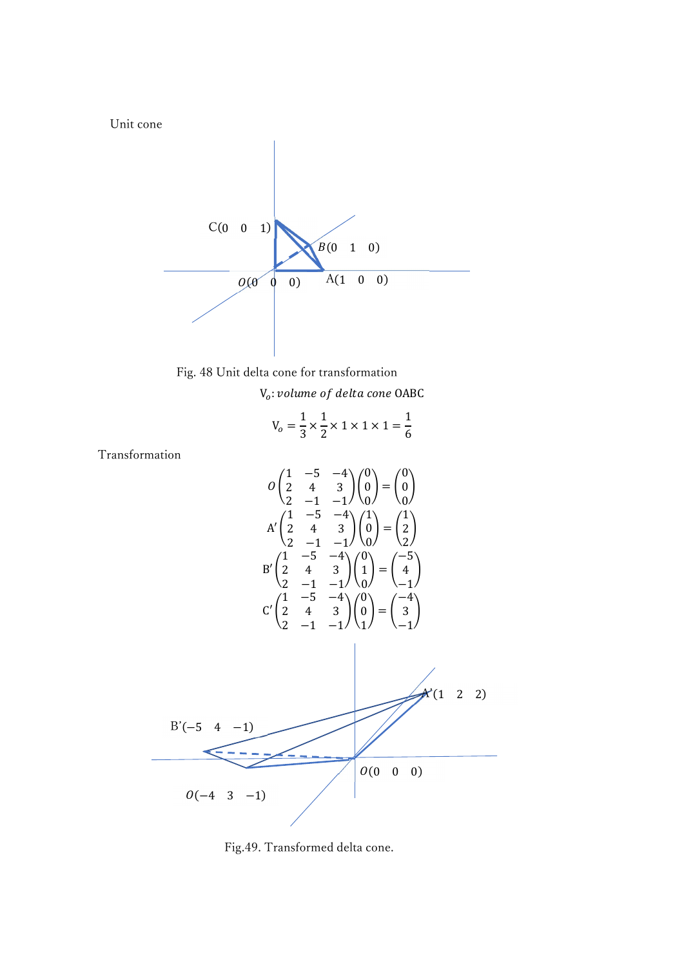Unit cone



Fig. 48 Unit delta cone for transformation

 $V_o: volume of delta cone OABC$ 

$$
V_o = \frac{1}{3} \times \frac{1}{2} \times 1 \times 1 \times 1 = \frac{1}{6}
$$

Transformation

$$
O\begin{pmatrix} 1 & -5 & -4 \ 2 & 4 & 3 \ 2 & -1 & -1 \end{pmatrix} \begin{pmatrix} 0 \ 0 \ 0 \end{pmatrix} = \begin{pmatrix} 0 \ 0 \ 0 \end{pmatrix}
$$
  
\n
$$
A'\begin{pmatrix} 1 & -5 & -4 \ 2 & 4 & 3 \ 2 & -1 & -1 \end{pmatrix} \begin{pmatrix} 1 \ 0 \ 0 \end{pmatrix} = \begin{pmatrix} 1 \ 2 \ 2 \end{pmatrix}
$$
  
\n
$$
B'\begin{pmatrix} 1 & -5 & -4 \ 2 & 4 & 3 \ 2 & -1 & -1 \end{pmatrix} \begin{pmatrix} 0 \ 1 \ 0 \end{pmatrix} = \begin{pmatrix} -5 \ 4 \ -1 \end{pmatrix}
$$
  
\n
$$
C'\begin{pmatrix} 1 & -5 & -4 \ 2 & 4 & 3 \ 2 & -1 & -1 \end{pmatrix} \begin{pmatrix} 0 \ 0 \end{pmatrix} = \begin{pmatrix} -4 \ 3 \ -1 \end{pmatrix}
$$
  
\n
$$
B'(-5 \ 4 \ -1)
$$
  
\n
$$
O(-4 \ 3 \ -1)
$$
  
\n
$$
O(-4 \ 3 \ -1)
$$
  
\n
$$
O(-4 \ 3 \ -1)
$$

Fig.49. Transformed delta cone.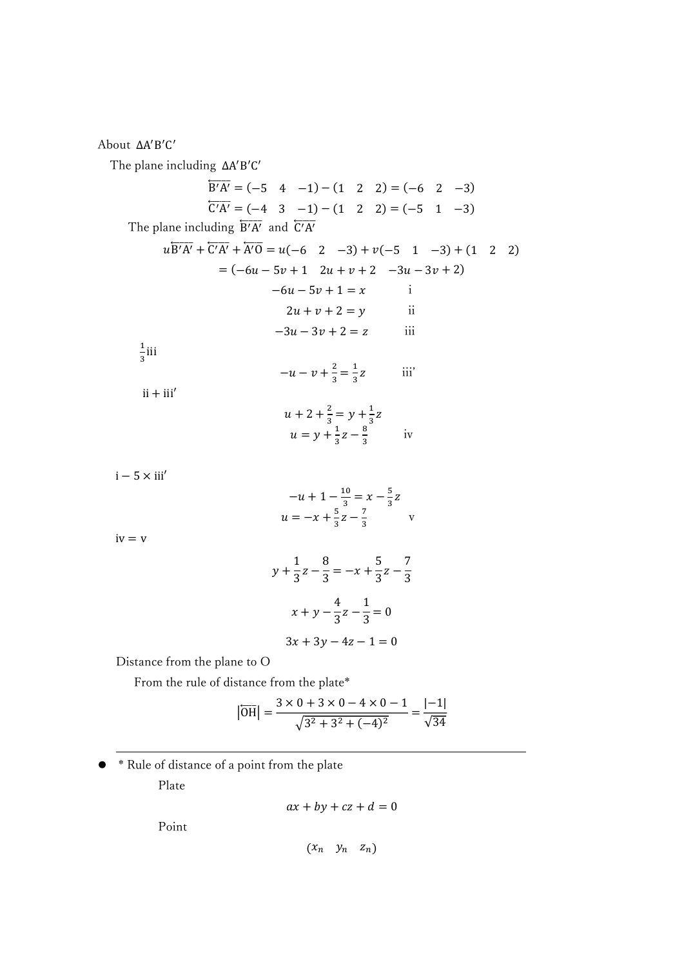About ΔA'B'C'

The plane including ΔΑ'B'C'

$$
\frac{1}{B'A'} = (-5 \quad 4 \quad -1) - (1 \quad 2 \quad 2) = (-6 \quad 2 \quad -3)
$$
\n
$$
\frac{1}{C'A'} = (-4 \quad 3 \quad -1) - (1 \quad 2 \quad 2) = (-5 \quad 1 \quad -3)
$$
\nThe plane including  $\frac{1}{B'A'}$  and  $\frac{1}{C'A'}$ \n
$$
u\overline{B'A'} + \overline{C'A'} + \overline{A'O} = u(-6 \quad 2 \quad -3) + v(-5 \quad 1 \quad -3) + (1 \quad 2 \quad 2)
$$
\n
$$
= (-6u - 5v + 1 \quad 2u + v + 2 \quad -3u - 3v + 2)
$$
\n
$$
-6u - 5v + 1 = x \quad \text{i}
$$
\n
$$
2u + v + 2 = y \quad \text{ii}
$$
\n
$$
-3u - 3v + 2 = z \quad \text{iii}
$$
\n
$$
\frac{1}{3}
$$
\n
$$
\frac{1}{3}
$$
\n
$$
\frac{1}{3}
$$
\n
$$
\frac{1}{3}
$$
\n
$$
\frac{1}{3}
$$
\n
$$
u + 2 + \frac{2}{3} = y + \frac{1}{3}z
$$
\n
$$
u = y + \frac{1}{3}z - \frac{8}{3} \quad \text{iv}
$$
\n
$$
i - 5 \times \text{iii}'
$$
\n
$$
-u + 1 - \frac{10}{3} = x - \frac{5}{3}z
$$
\n
$$
u = -x + \frac{5}{3}z - \frac{7}{3} \quad \text{v}
$$
\n
$$
iv = v
$$
\n
$$
y + \frac{1}{3}z - \frac{8}{3} = -x + \frac{5}{3}z - \frac{7}{3}
$$

$$
3x + 3y - 4z - 1 = 0
$$

4  $\frac{1}{3}z$  –

1  $\frac{1}{3} = 0$ 

 $x + y -$ 

Distance from the plane to O

From the rule of distance from the plate\*

$$
|\overline{OH}| = \frac{3 \times 0 + 3 \times 0 - 4 \times 0 - 1}{\sqrt{3^2 + 3^2 + (-4)^2}} = \frac{|-1|}{\sqrt{34}}
$$

 \* Rule of distance of a point from the plate Plate

$$
ax + by + cz + d = 0
$$

Point

$$
\begin{pmatrix} x_n & y_n & z_n \end{pmatrix}
$$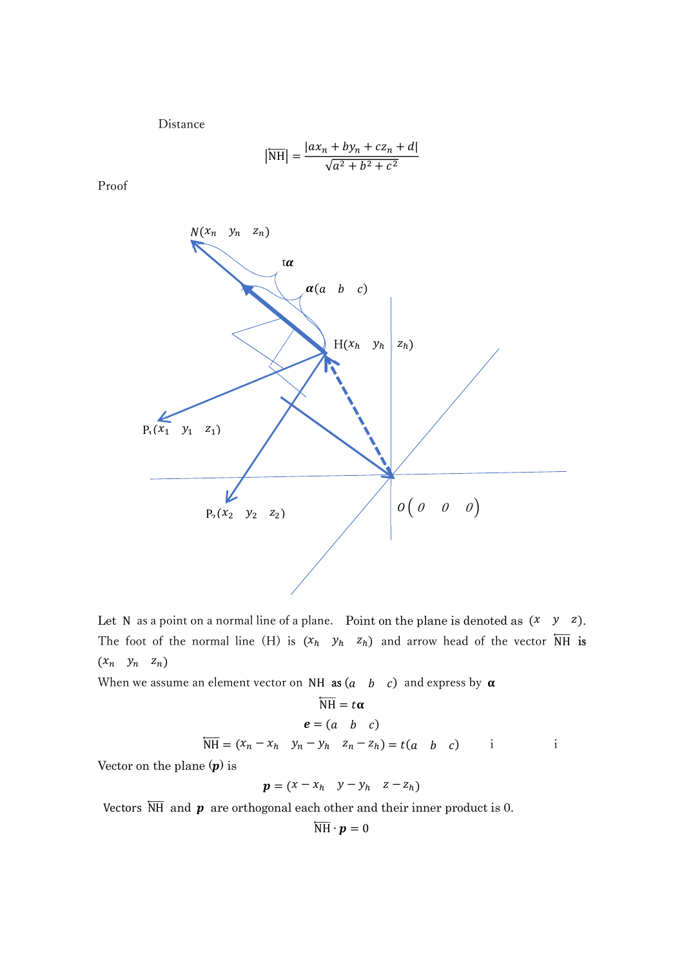Distance

$$
|\overline{\text{NH}}| = \frac{|ax_n + by_n + cz_n + d|}{\sqrt{a^2 + b^2 + c^2}}
$$

Proof



Let N as a point on a normal line of a plane. Point on the plane is denoted as  $(x \ y \ z)$ . The foot of the normal line (H) is  $(x_h, y_h, z_h)$  and arrow head of the vector  $\overline{NH}$  is  $(x_n \quad y_n \quad z_n)$ 

When we assume an element vector on NH as  $(a \ b \ c)$  and express by  $\alpha$ 

$$
\overleftarrow{\text{NH}} = t\alpha
$$
\n
$$
e = (a \quad b \quad c)
$$
\n
$$
\overleftarrow{\text{NH}} = (x_n - x_h \quad y_n - y_h \quad z_n - z_h) = t(a \quad b \quad c)
$$
\ni\ni

Vector on the plane  $(p)$  is

$$
\boldsymbol{p} = (x - x_h \quad y - y_h \quad z - z_h)
$$

Vectors  $\overline{NH}$  and  $\boldsymbol{p}$  are orthogonal each other and their inner product is 0.

$$
\overleftarrow{\mathrm{NH}}\cdot\bm{p}=0
$$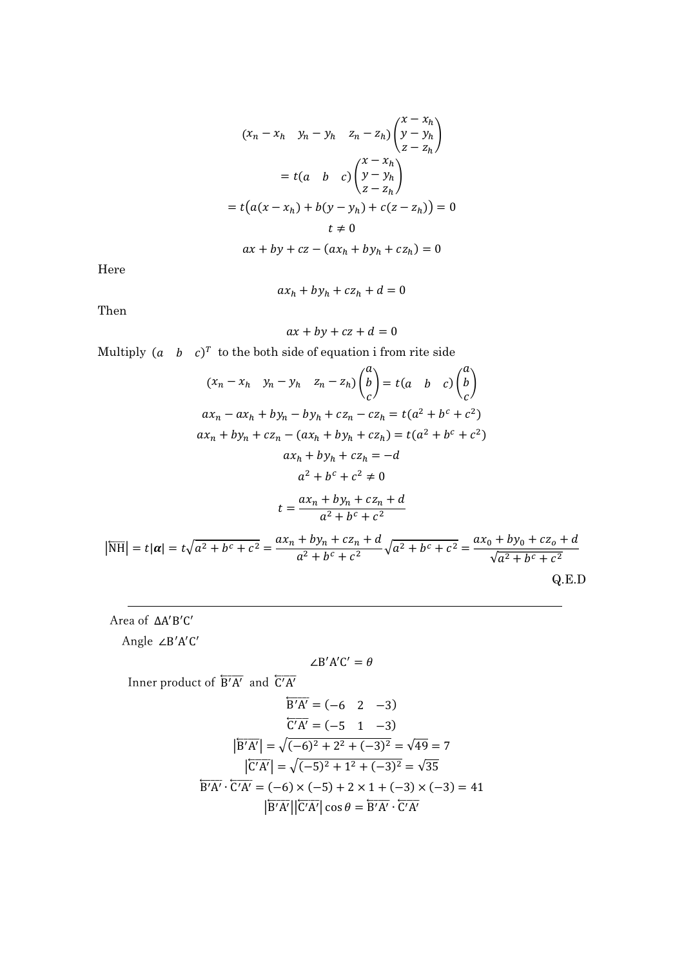$$
(x_n - x_h \quad y_n - y_h \quad z_n - z_h) \begin{pmatrix} x - x_h \\ y - y_h \\ z - z_h \end{pmatrix}
$$

$$
= t(a \quad b \quad c) \begin{pmatrix} x - x_h \\ y - y_h \\ z - z_h \end{pmatrix}
$$

$$
= t(a(x - x_h) + b(y - y_h) + c(z - z_h)) = 0
$$

$$
t \neq 0
$$

$$
ax + by + cz - (ax_h + by_h + cz_h) = 0
$$

Here

 $ax_h+by_h+cz_h+ d=0$ 

Then

$$
ax + by + cz + d = 0
$$

Multiply 
$$
(a \ b \ c)^T
$$
 to the both side of equation i fromrite side  
\n
$$
(x_n - x_h \ y_n - y_h \ z_n - z_h) \binom{a}{b} = t(a \ b \ c) \binom{a}{c}
$$
\n
$$
ax_n - ax_n + by_n - by_n + cz_n - cz_h = t(a^2 + b^c + c^2)
$$
\n
$$
ax_n + by_n + cz_n - (ax_n + by_n + cz_h) = t(a^2 + b^c + c^2)
$$
\n
$$
ax_n + by_n + cz_h = -d
$$
\n
$$
a^2 + b^c + c^2 \neq 0
$$
\n
$$
t = \frac{ax_n + by_n + cz_n + d}{a^2 + b^c + c^2}
$$
\n
$$
|\overline{NH}| = t|\alpha| = t\sqrt{a^2 + b^c + c^2} = \frac{ax_n + by_n + cz_n + d}{a^2 + b^c + c^2} \sqrt{a^2 + b^c + c^2} = \frac{ax_0 + by_0 + cz_0 + d}{\sqrt{a^2 + b^c + c^2}}
$$
\nQ.E.D

Area of ΔA'B'C'

Angle ∠B'A'C'

$$
\angle B'A'C'=\theta
$$

Inner product of  $\overleftarrow{B'A'}$  and  $\overleftarrow{C'A'}$ 

$$
\overline{B'A'} = (-6 \quad 2 \quad -3)
$$
  
\n
$$
\overline{C'A'} = (-5 \quad 1 \quad -3)
$$
  
\n
$$
|\overline{B'A'}| = \sqrt{(-6)^2 + 2^2 + (-3)^2} = \sqrt{49} = 7
$$
  
\n
$$
|\overline{C'A'}| = \sqrt{(-5)^2 + 1^2 + (-3)^2} = \sqrt{35}
$$
  
\n
$$
\overline{B'A'} \cdot \overline{C'A'} = (-6) \times (-5) + 2 \times 1 + (-3) \times (-3) = 41
$$
  
\n
$$
|\overline{B'A'}||\overline{C'A'}|\cos\theta = \overline{B'A'} \cdot \overline{C'A'}
$$